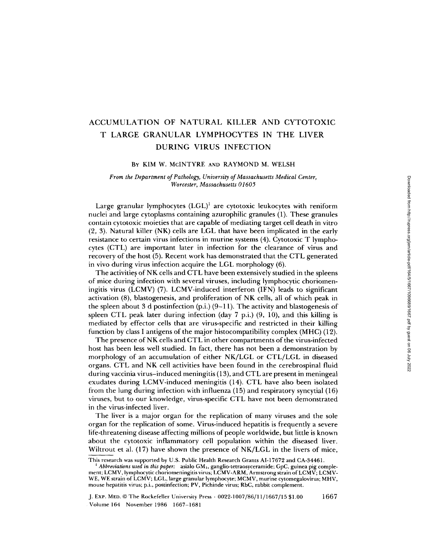# ACCUMULATION OF NATURAL KILLER AND CYTOTOXIC T LARGE GRANULAR LYMPHOCYTES IN THE LIVER DURING VIRUS INFECTION

# BY KIM W. McINTYRE AND RAYMOND M. WELSH

# From the Department of Pathology, University of Massachusetts Medical Center, Worcester, Massachusetts 01605

Large granular lymphocytes (LGL)' are cytotoxic leukocytes with reniform nuclei and large cytoplasms containing azurophilic granules (1) . These granules contain cytotoxic moieties that are capable of mediating target cell death in vitro (2, 3) . Natural killer (NK) cells are LGL that have been implicated in the early resistance to certain virus infections in murine systems (4) . Cytotoxic T lymphocytes (CTL) are important later in infection for the clearance of virus and recovery of the host (5) . Recent work has demonstrated that the CTL generated in vivo during virus infection acquire the LGL morphology (6) .

The activities of NK cells and CTL have been extensively studied in the spleens of mice during infection with several viruses, including lymphocytic choriomeningitis virus (LCMV) (7). LCMV-induced interferon (IFN) leads to significant activation (8), blastogenesis, and proliferation of NK cells, all of which peak in the spleen about 3 d postinfection (p .i .) (9-11) . The activity and blastogenesis of spleen CTL peak later during infection (day 7 p.i.) (9, 10), and this killing is mediated by effector cells that are virus-specific and restricted in their killing function by class <sup>I</sup> antigens of the major histocompatibility complex (MHC) (12) .

The presence of NK cells and CTL in other compartments of the virus-infected host has been less well studied . In fact, there has not been a demonstration by morphology of an accumulation of either NK/LGL or CTL/LGL in diseased organs . CTL and NK cell activities have been found in the cerebrospinal fluid during vaccinia virus-induced meningitis (13), and CTL are present in meningeal exudates during LCMV-induced meningitis (14) . CTL have also been isolated from the lung during infection with influenza (15) and respiratory syncytial (16) viruses, but to our knowledge, virus-specific CTL have not been demonstrated in the virus-infected liver .

The liver is a major organ for the replication of many viruses and the sole organ for the replication of some . Virus-induced hepatitis is frequently a severe life-threatening disease affecting millions of people worldwide, but little is known about the cytotoxic inflammatory cell population within the diseased liver . Wiltrout et al . (17) have shown the presence of NK/LGL in the livers of mice,

J . Exp. MED. © The Rockefeller University Press - 0022-1007/86/11/1667/15 \$1 .00 1667 Volume 164 November 1986 1667-1681

This research was supported by U.S . Public Health Research Grants AI-17672 and CA-34461 .

 $^{\mathfrak{t}}$  Abbreviations used in this paper: asialo GM1, ganglio-tetraosyceramide; GpC, guinea pig complement; LCMV, lymphocytic choriomeningitis virus; LCMV-ARM, Armstrong strain of LCMV; LCMV-WE, WE strain of LCMV; LGL, large granular lymphocyte; MCMV, murine cytomegalovirus; MHV, mouse hepatitis virus; p.i., postinfection; PV, Pichinde virus; RbC, rabbit complement.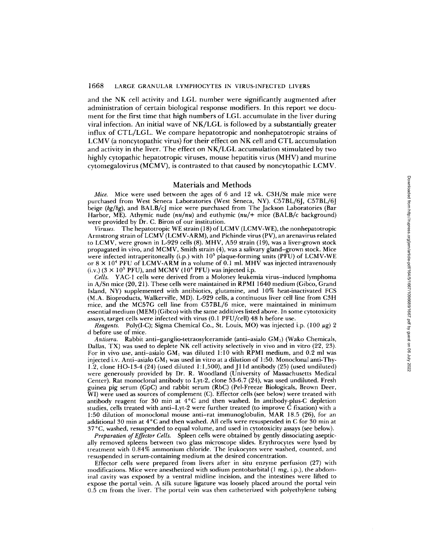and the NK cell activity and LGL number were significantly augmented after administration of certain biological response modifiers. In this report we document for the first time that high numbers of LGL accumulate in the liver during viral infection . An initial wave of NK/LGL is followed by a substantially greater influx of CTL/LGL. We compare hepatotropic and nonhepatotropic strains of LCMV (a noncytopathic virus) for their effect on NK cell and CTL accumulation and activity in the liver. The effect on NK/LGL accumulation stimulated by two highly cytopathic hepatotropic viruses, mouse hepatitis virus (MHV) and murine cytomegalovirus (MCMV), is contrasted to that caused by noncytopathic LCMV.

### Materials and Methods

Mice. Mice were used between the ages of 6 and 12 wk. C3H/St male mice were purchased from West Seneca Laboratories (West Seneca, NY). C57BL/6J, C57BL/6J beige (bg/bg), and BALB/cJ mice were purchased from The Jackson Laboratories (Bar Harbor, ME). Athymic nude  $(nu/nu)$  and euthymic  $(nu/+$  mice (BALB/c background) were provided by Dr. C. Biron of our institution.

Viruses. The hepatotropic WE strain (18) of LCMV (LCMV-WE), the nonhepatotropic Armstrong strain of LCMV (LCMV-ARM), and Pichinde virus (PV), an arenavirus related to LCMV, were grown in L-929 cells (8) . MHV, A59 strain (19), was a liver-grown stock propagated in vivo, and MCMV, Smith strain (4), was a salivary gland-grown stock. Mice were infected intraperitoneally (i.p.) with  $10^5$  plaque-forming units (PFU) of LCMV-WE or  $8 \times 10^4$  PFU of LCMV-ARM in a volume of 0.1 ml. MHV was injected intravenously  $(i.v.)$  ( $3 \times 10^5$  PFU), and MCMV ( $10^4$  PFU) was injected i.p.

Cells. YAC-1 cells were derived from a Moloney leukemia virus-induced lymphoma in A/Sn mice (20, 21) . These cells were maintained in RPMI 1640 medium (Gibco, Grand Island, NY) supplemented with antibiotics, glutamine, and 10% heat-inactivated FCS (M .A . Bioproducts, Walkerville, MD). L-929 cells, <sup>a</sup> continuous liver cell line from C3H mice, and the MC57G cell line from C57BL/6 mice, were maintained in minimum essential medium (MEM) (Gibco) with the same additives listed above . In some cytotoxicity assays, target cells were infected with virus (0 .1 PFU/cell) 48 h before use.

 $$ d before use of mice.

Antisera. Rabbit anti-ganglio-tetraosylceramide (anti-asialo GM1) (Wako Chemicals, Dallas, TX) was used to deplete NK cell activity selectively in vivo and in vitro (22, 23). For in vivo use, anti-asialo  $GM_1$  was diluted 1:10 with RPMI medium, and 0.2 ml was injected <sup>i</sup> .v . Anti-asialo GM, was used in vitro at a dilution of <sup>1</sup> :50. Monoclonal anti-Thy-<sup>1</sup> .2, clone HO-13-4 (24) (used diluted <sup>1</sup> :1,500), and J1 Id antibody (25) (used undiluted) were generously provided by Dr. R. Woodland (University of Massachusetts Medical Center). Rat monoclonal antibody to Lyt-2, clone  $53-6.7$  (24), was used undiluted. Fresh guinea pig serum (GpC) and rabbit serum (RbC) (Pel-Freeze Biologicals, Brown Deer, WI) were used as sources of complement (C). Effector cells (see below) were treated with antibody reagent for 30 min at  $4^{\circ}$ C and then washed. In antibody-plus-C depletion studies, cells treated with anti-Lyt-2 were further treated (to improve C fixation) with a 1:50 dilution of monoclonal mouse anti-rat immunoglobulin, MAR 18.5 (26), for an additional 30 min at 4°C and then washed. All cells were resuspended in C for 30 min at 37 ° C, washed, resuspended to equal volume, and used in cytotoxicity assays (see below) .

Preparation of Effector Cells. Spleen cells were obtained by gently dissociating aseptically removed spleens between two glass microscope slides . Erythrocytes were lysed by treatment with 0.84% ammonium chloride . The leukocytes were washed, counted, and resuspended in serum-containing medium at the desired concentration .

Effector cells were prepared from livers after in situ enzyme perfusion (27) with modifications. Mice were anesthetized with sodium pentobarbital  $(1 \text{ mg}, i.p.)$ , the abdominal cavity was exposed by a ventral midline incision, and the intestines were lifted to expose the portal vein. A silk suture ligature was loosely placed around the portal vein 0 .5 cm from the liver. The portal vein was then catheterized with polyethylene tubing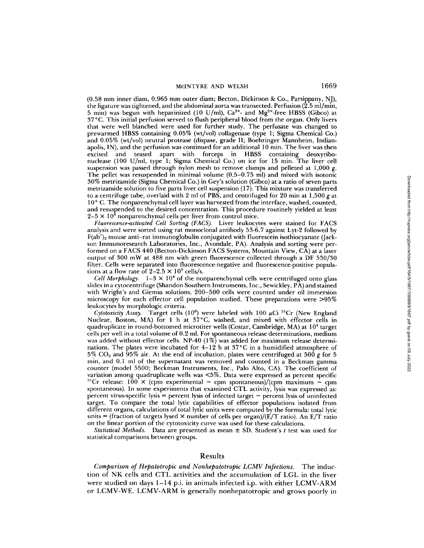(0 .58 mm inner diam, <sup>0</sup> .965 mm outer diam; Becton, Dickinson & Co., Parsippany, NJ), the ligature was tightened, and the abdominal aorta was transected. Perfusion  $(2.5 \text{ ml/min})$ , 5 min) was begun with heparinized (10 U/ml),  $Ca^{2+}$ - and Mg<sup>2+</sup>-free HBSS (Gibco) at 37°C. This initial perfusion served to flush peripheral blood from the organ. Only livers that were well blanched were used for further study. The perfusate was changed to prewarmed HBSS containing 0.05% (wt/vol) collagenase (type 1; Sigma Chemical Co.) and 0.05% (wt/vol) neutral protease (dispase, grade II ; Boehringer Mannheim, Indianapolis, IN), and the perfusion was continued for an additional 10 min. The liver was then excised and teased apart with forceps in HBSS containing deoxyribonuclease (100 U/ml, type 1; Sigma Chemical Co.) on ice for 15 min. The liver cell suspension was passed through nylon mesh to remove clumps and pelleted at 1,000 g. The pellet was resuspended in minimal volume  $(0.5-0.75 \text{ ml})$  and mixed with isotonic 30% metrizamide (Sigma Chemical Co.) in Gey's solution (Gibco) at a ratio of seven parts metrizamide solution to five parts liver cell suspension (17) . This mixture was transferred to a centrifuge tube, overlaid with 2 ml of PBS, and centrifuged for 20 min at 1,500 g at 10' C. The nonparenchymal cell layer was harvested from the interface, washed, counted, and resuspended to the desired concentration. This procedure routinely yielded at least  $2-5 \times 10^6$  nonparenchymal cells per liver from control mice.

Fluorescence-activated Cell Sorting (FRCS). Liver leukocytes were stained for FAGS analysis and were sorted using rat monoclonal antibody 53-6.7 against Lyt-2 followed by F(ab') <sup>1</sup> mouse anti-rat immunoglobulin conjugated with fluorescein isothiocyanate (Jackson Immunoresearch Laboratories, Inc., Avondale, PA). Analysis and sorting were performed on <sup>a</sup> FACS 440 (Becton-Dickinson FAGS Systems, Mountain View, CA) at <sup>a</sup> laser output of <sup>300</sup> mW at <sup>488</sup> nm with green fluorescence collected through <sup>a</sup> DF 530/30 filter. Cells were separated into fluorescence-negative and fluorescence-positive populations at a flow rate of  $2-2.5 \times 10^3$  cells/s.

*Cell Morphology.*  $1-3 \times 10^4$  of the nonparenchymal cells were centrifuged onto glass slides in a cytocentrifuge (Shandon Southern Instruments, Inc., Sewickley, PA) and stained with Wright's and Giemsa solutions. 200–500 cells were counted under oil immersion microscopy for each effector cell population studied. These preparations were  $>95\%$ leukocytes by morphologic criteria .

Cytotoxicity Assay. Target cells (10<sup>6</sup>) were labeled with 100  $\mu$ Ci <sup>51</sup>Cr (New England Nuclear, Boston, MA) for 1 h at 37°C, washed, and mixed with effector cells in quadruplicate in round-bottomed microtiter wells (Costar, Cambridge, MA) at  $10<sup>4</sup>$  target cells per well in a total volume of 0.2 ml. For spontaneous release determinations, medium was added without effector cells. NP-40 (1%) was added for maximum release determinations. The plates were incubated for 4-12 h at 37°C in a humidified atmosphere of  $5\%$  CO<sub>2</sub> and  $95\%$  air. At the end of incubation, plates were centrifuged at  $500$  g for  $5$ min, and 0.1 ml of the supernatant was removed and counted in <sup>a</sup> Beckman gamma counter (model 5500; Beckman Instruments, Inc., Palo Alto, CA). The coefficient of variation among quadruplicate wells was <5% . Data were expressed as percent specific <sup>51</sup>Cr release: 100 × (cpm experimental – cpm spontaneous)/(cpm maximum – cpm spontaneous) . In some experiments that examined CTL activity, lysis was expressed as: percent virus-specific lysis = percent lysis of infected target - percent lysis of uninfected target. To compare the total lytic capabilities of effector populations isolated from different organs, calculations of total lytic units were computed by the formula: total lytic units = (fraction of targets lysed X number of cells per organ)/(E/T ratio) . An E/T ratio on the linear portion of the cytotoxicity curve was used for these calculations .

Statistical Methods. Data are presented as mean  $\pm$  SD. Student's t test was used for statistical comparisons between groups.

### Results

Comparison of Hepatotropic and Nonhepatotropic LCMV Infections. The induction of NK cells and CTL activities and the accumulation of LGL in the liver were studied on days 1-14 p.i. in animals infected i.p. with either LCMV-ARM or LCMV-WE. LCMV-ARM is generally nonhepatotropic and grows poorly in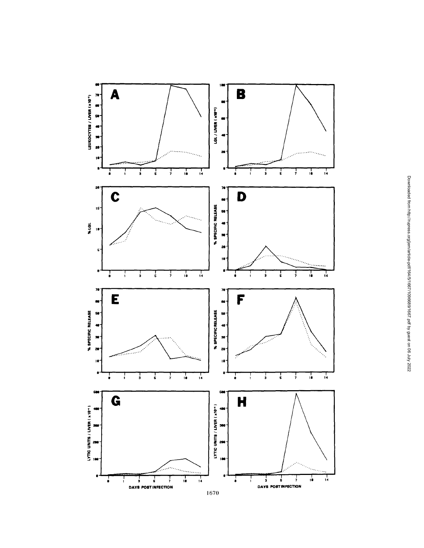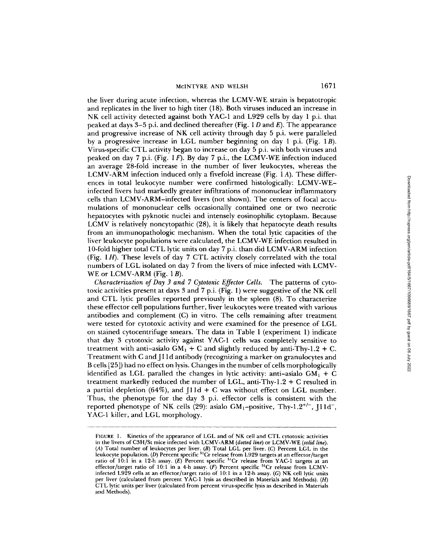the liver during acute infection, whereas the LCMV-WE strain is hepatotropic and replicates in the liver to high titer (18). Both viruses induced an increase in NK cell activity detected against both YAC-1 and L929 cells by day 1 p.i . that peaked at days  $3-5$  p.i. and declined thereafter (Fig. 1  $D$  and  $E$ ). The appearance and progressive increase of NK cell activity through day 5 p.i . were paralleled by a progressive increase in LGL number beginning on day 1 p.i. (Fig. 1B). Virus-specific CTL activity began to increase on day 5 p.i . with both viruses and peaked on day 7 p.i . (Fig. <sup>1</sup> F) . By day 7 p.i ., the LCMV-WE infection induced an average 28-fold increase in the number of liver leukocytes, whereas the LCMV-ARM infection induced only a fivefold increase (Fig. <sup>1</sup> A). These differences in total leukocyte number were confirmed histologically: LCMV-WEinfected livers had markedly greater infiltrations of mononuclear inflammatory cells than LCMV-ARM-infected livers (not shown). The centers of focal accumulations of mononuclear cells occasionally contained one or two necrotic hepatocytes with pyknotic nuclei and intensely eosinophilic cytoplasm. Because LCMV is relatively noncytopathic (28), it is likely that hepatocyte death results from an immunopathologic mechanism. When the total lytic capacities of the liver leukocyte populations were calculated, the LCMV-WE infection resulted in 10-fold higher total CTL lytic units on day 7 p.i . than did LCMV-ARM infection (Fig. <sup>1</sup> H). These levels of day <sup>7</sup> CTL activity closely correlated with the total numbers of LGL isolated on day <sup>7</sup> from the livers of mice infected with LCMV-WE or LCMV-ARM (Fig.  $1B$ ).

Characterization of Day 3 and 7 Cytotoxic Effector Cells. The patterns of cytotoxic activities present at days <sup>3</sup> and <sup>7</sup> p.i . (Fig. 1) were suggestive of the NK cell and CTL lytic profiles reported previously in the spleen (8) . To characterize these effector cell populations further, liver leukocytes were treated with various antibodies and complement (C) in vitro. The cells remaining after treatment were tested for cytotoxic activity and were examined for the presence of LGL on stained cytocentrifuge smears. The data in Table <sup>I</sup> (experiment 1) indicate that day <sup>3</sup> cytotoxic activity against YAC-1 cells was completely sensitive to treatment with anti-asialo  $GM_1 + C$  and slightly reduced by anti-Thy-1.2 + C. Treatment with C and J 11 d antibody (recognizing a marker on granulocytes and B cells [25]) had no effect on lysis . Changes in the number of cells morphologically identified as LGL paralled the changes in lytic activity: anti-asialo  $GM_1 + C$ treatment markedly reduced the number of LGL, anti-Thy- $1.2 + C$  resulted in a partial depletion  $(64\%)$ , and  $J11d + C$  was without effect on LGL number. Thus, the phenotype for the day 3 p.i . effector cells is consistent with the reported phenotype of NK cells (29): asialo  $GM_1$ -positive, Thy-1.2<sup>+/-</sup>, [11d<sup>-</sup>, YAC-1 killer, and LGL morphology. ces in total leukooye number were confirmed histolography. LCMV-VPE-<br>and methods) . The centers of cola decay in the case of a security of the center of cola decay for the security (not shown). The centers of cola decay i

FIGURE 1. Kinetics of the appearance of LGL and of NK cell and CTL cytotoxic activities in the livers of C3H/St mice infected with LCMV-ARM (dotted line) or LCMV-WE (solid line). (A) Total number of leukocytes per liver. (B) Total LGL per liver. (C) Percent LGL in the leukocyte population. (D) Percent specific <sup>31</sup>Cr release from L929 targets at an effector/target<br>ratio of 10:1 in a 12-h assay. (E) Percent specific <sup>51</sup>Cr release from YAC-1 targets at an effector/target ratio of 10:1 in a 4-h assay.  $(F)$  Percent specific <sup>51</sup>Cr release from LCMVinfected L929 cells at an effector/target ratio of 10:1 in a 12-h assay.  $(G)$  NK cell lytic units per liver (calculated from percent YAC-1 lysis as described in Materials and Methods). (H) CTLlytic units per liver (calculated from percent virus-specific lysis as described in Materials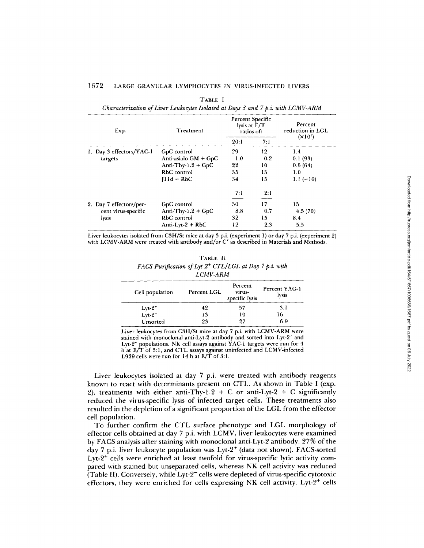#### 167 LARGE GRANULAR LYMPHOCYTES IN VIRUS-INFECTED LIVERS

| Exp.                         | Treatment              | Percent Specific<br>lysis at E/T<br>ratios of: |                 | Percent<br>reduction in LGL |  |
|------------------------------|------------------------|------------------------------------------------|-----------------|-----------------------------|--|
|                              |                        | 20:1                                           | 7:1             | (X10 <sup>5</sup> )         |  |
| 1. Day 3 effectors/YAC-1     | GpC control            | 29                                             | 12              | 1.4                         |  |
| targets                      | Anti-asialo $GM + GpC$ | 1.0                                            | 0.2             | 0.1(93)                     |  |
|                              | Anti-Thy-1.2 + $GpC$   | 22                                             | 10              | 0.5(64)                     |  |
|                              | RbC control            | 35                                             | 15              | 1.0                         |  |
|                              | $11d + RbC$            | 34                                             | 15              | $1.1(-10)$                  |  |
|                              |                        | 7:1                                            | 2:1             |                             |  |
| 2. Day 7 effectors/per-      | GpC control            | 30                                             | 17 <sup>7</sup> | 15                          |  |
| cent virus-specific<br>lysis | Anti-Thy-1.2 + $GpC$   | 8.8                                            | 0.7             | 4.5(70)                     |  |
|                              | RbC control            | 32                                             | 15              | 8.4                         |  |
|                              | Anti-Lyt- $2 + RbC$    | 12                                             | 2.3             | 5.5                         |  |

TABLE <sup>I</sup>  $\sim$   $\sim$   $\sim$ p.i. with LCMV-ARM

Liver leukocytes isolated from C3H/St mice at day 3 p.i . (experiment 1) or day 7 p.i . (experiment 2) with LCMV-ARM were treated with antibody and/or <sup>C</sup>' as described in Materials and Methods.

| TABLE II                                                           |
|--------------------------------------------------------------------|
| FACS Purification of Lyt-2 <sup>+</sup> CTL/LGL at Day 7 p.i. with |
| <i>LCMV-ARM</i>                                                    |

| Cell population                          | Percent LGL | Percent<br>virus-<br>specific lysis | Percent YAG-1<br>lysis |
|------------------------------------------|-------------|-------------------------------------|------------------------|
|                                          | 42          | 57                                  | 3. I                   |
| Lyt-2 <sup>+</sup><br>Lyt-2 <sup>-</sup> | 13          |                                     | 16                     |
| Unsorted                                 | 23          | 97                                  | 6.9                    |

Liver leukocytes from C3H/St mice at day 7 p.i . with LCMV-ARM were stained with monoclonal anti-Lyt-2 antibody and sorted into Lyt-2+ and Lyt-2<sup>-</sup> populations. NK cell assays against YAC-1 targets were run for 4 h at E/T of 3:1, and CTL assays against uninfected and LCMV-infected L929 cells were run for 14 h at E/T of 3:1 .

Liver leukocytes isolated at day 7 p.i . were treated with antibody reagents known to react with determinants present on CTL. As shown in Table <sup>I</sup> (exp. 2), treatments with either anti-Thy-1.2 + C or anti-Lyt-2 + C significantly reduced the virus-specific lysis of infected target cells. These treatments also resulted in the depletion of a significant proportion of the LGL from the effector cell population.

To further confirm the CTL surface phenotype and LGL morphology of effector cells obtained at day 7 p.i . with LCMV, liver leukocytes were examined by FACS analysis after staining with monoclonal anti-Lyt-2 antibody. 27% of the day 7 p.i . liver leukocyte population was Lyt-2 + (data not shown). FACS-sorted Lyt-2<sup>+</sup> cells were enriched at least twofold for virus-specific lytic activity compared with stained but unseparated cells, whereas NK cell activity was reduced (Table II). Conversely, while Lyt-2<sup>-</sup> cells were depleted of virus-specific cytotoxic effectors, they were enriched for cells expressing NK cell activity. Lyt-2<sup>+</sup> cells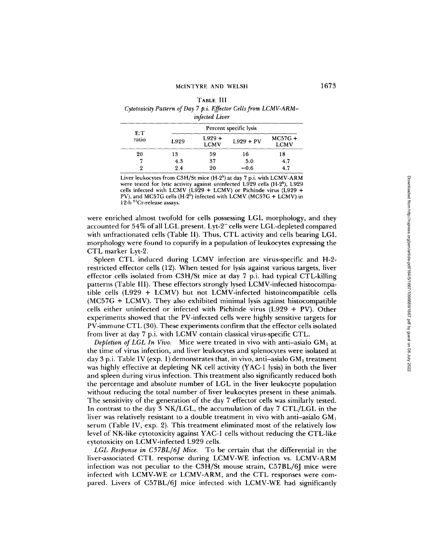| TABLE III                                                        |  |  |  |  |  |
|------------------------------------------------------------------|--|--|--|--|--|
| Cytotoxicity Pattern of Day 7 p.i. Effector Cells from LCMV-ARM- |  |  |  |  |  |
| <i>infected Liver</i>                                            |  |  |  |  |  |

| E:T<br>ratio |      |                         | Percent specific lysis |                          |
|--------------|------|-------------------------|------------------------|--------------------------|
|              | L929 | $L929 +$<br><b>LCMV</b> | $L929 + PV$            | $MC57G +$<br><b>LCMV</b> |
| 20           | 13   | 59                      | 16                     | 18                       |
| די           | 4.3  | 37                      | 5.0                    | 4.7                      |
| 9            | 2.4  | 20                      | $-0.6$                 | 47                       |

Liver leukocytes from C3H/St mice (H-2<sup>k</sup>) at day 7 p.i. with LCMV-ARM were tested for lytic activity against uninfected L929 cells (H-2<sup>k</sup>), L929 cells infected with LCMV  $(L929 + LCMV)$  or Pichinde virus  $(L929 + DIV)$ PV), and MC57G cells (H-2<sup>b</sup>) infected with LCMV (MC57G + LCMV) in 12-h <sup>51</sup>Cr-release assays.

were enriched almost twofold for cells possessing LGL morphology, and they accounted for 54% of all LGL present. Lyt-2 - cells were LGL-depleted compared with unfractionated cells (Table 11). Thus, CTL activity and cells bearing LGL morphology were found to copurify in a population of leukocytes expressing the CTL marker Lyt-2.

Spleen CTL induced during LCMV infection are virus-specific and H-2 restricted effector cells (12) . When tested for lysis against various targets, liver effector cells isolated from C3H/St mice at day 7 p.i . had typical CTL-killing patterns (Table 111) . These effectors strongly lysed LCMV-infected histocompatible cells (L929 + LCMV) but not LCMV-infected histoincompatible cells (MC57G + LCMV). They also exhibited minimal lysis against histocompatible cells either uninfected or infected with Pichinde virus (L929 + PV). Other experiments showed that the PV-infected cells were highly sensitive targets for PV-immune CTL (30). These experiments confirm that the effector cells isolated from liver at day 7 p.i . with LCMV contain classical virus-specific CTL.

Depletion of LGL In Vivo. Mice were treated in vivo with anti-asialo  $GM_1$  at the time of virus infection, and liver leukocytes and splenocytes were isolated at day 3 p.i . Table IV (exp. 1) demonstrates that, in vivo, anti-asialo GM, treatment was highly effective at depleting NK cell activity (YAC-1 lysis) in both the liver and spleen during virus infection. This treatment also significantly reduced both the percentage and absolute number of LGL in the liver leukocyte population without reducing the total number of liver leukocytes present in these animals. The sensitivity of the generation of the day 7 effector cells was similarly tested . In contrast to the day 3 NK/LGL, the accumulation of day <sup>7</sup> CTL/LGL in the liver was relatively resistant to a double treatment in vivo with anti-asialo GM, serum (Table IV, exp. 2) . This treatment eliminated most of the relatively low level of NK-like cytotoxicity against YAC-1 cells without reducing the CTL-like cytotoxicity on LCMV-infected L929 cells.

LGL Response in C57BL/6J Mice. To be certain that the differential in the liver-associated CTL response during LCMV-WE infection vs . LCMV-ARM infection was not peculiar to the C3H/St mouse strain, C57BL/6J mice were infected with LCMV-WE or LCMV-ARM, and the CTL responses were compared. Livers of C57BL/6J mice infected with LCMV-WE had significantly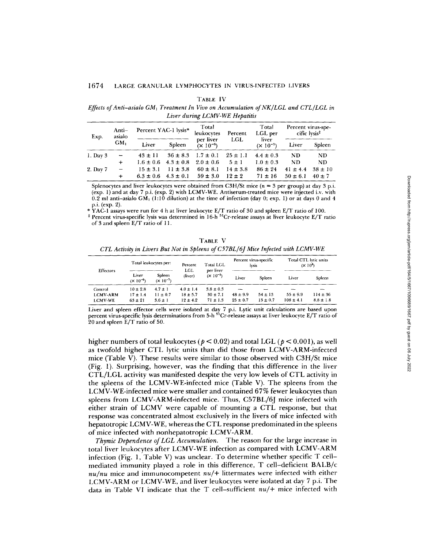# TABLE IV

Effects of Anti-asialo  $GM_1$  Treatment In Vivo on Accumulation of  $NK/LEL$  and  $CTL/LGL$  in Liver during LCMV-WE Hepatitis

| Exp.         | Anti-<br>asialo | Percent YAC-1 lysis* |                             | Total<br>leukocytes        | Percent      | Total<br>LGL per       | Percent virus-spe-<br>cific lysis‡ |             |
|--------------|-----------------|----------------------|-----------------------------|----------------------------|--------------|------------------------|------------------------------------|-------------|
|              | GM.             | Liver                | Spleen                      | per liver<br>$(X 10^{-6})$ | LGL          | liver<br>$(X 10^{-5})$ | Liver                              | Spleen      |
| $1.$ Day $3$ |                 | $43 \pm 11$          |                             | $36 \pm 8.3$ $1.7 \pm 0.1$ | $25 \pm 1.1$ | $4.4 \pm 0.3$          | ND                                 | <b>ND</b>   |
|              | $+$             |                      | $1.6 \pm 0.6$ 4.3 $\pm 0.8$ | $2.0 \pm 0.6$              | $5 \pm 1$    | $1.0 \pm 0.3$          | -ND                                | <b>ND</b>   |
| 2. Day 7     | $-$             | $15 \pm 3.1$         | $11 \pm 3.8$                | $60 \pm 8.1$               | $14 \pm 3.8$ | $86 \pm 24$            | $41 \pm 4.4$                       | $38 \pm 10$ |
|              | $\pm$           |                      | $6.3 \pm 0.6$ 4.3 $\pm$ 0.1 | $59 \pm 3.0$               | $12 \pm 2$   | $71 \pm 16$            | $50 \pm 6.1$                       | $40 \pm 7$  |

Splenocytes and liver leukocytes were obtained from C3H/St mice  $(n = 3$  per group) at day 3 p.i. (exp. 1) and at day 7 p.i. (exp. 2) with LCMV-WE. Antiserum-treated mice were injected i.v. with  $0.2$  ml anti-asialo GM<sub>1</sub> (1:10 dilution) at the time of infection (day 0; exp. 1) or at days 0 and 4 p.i. (exp. 2).

\* YAC-I assays were run for 4 h at liver leukocyte E/T ratio of 30 and spleen E/T ratio of 100.

<sup>#</sup> Percent virus-specific lysis was determined in 16-h <sup>51</sup>Cr-release assays at liver leukocyte E/T ratio of <sup>3</sup> and spleen E/T ratio of <sup>11</sup> .

| TABLE V |                                                                                  |  |  |  |  |
|---------|----------------------------------------------------------------------------------|--|--|--|--|
|         | CTL Activity in Livers But Not in Spleens of C57BL/6J Mice Infected with LCMV-WE |  |  |  |  |

| <b>Effectors</b>                             |                                             | Total leukocytes per:                      |                                               | Total LGL<br>Percent<br>per liver<br>LGL      | Percent virus-specific<br>lysis |                             | Total CTL lytic units<br>(X 10 <sup>4</sup> ) |                               |
|----------------------------------------------|---------------------------------------------|--------------------------------------------|-----------------------------------------------|-----------------------------------------------|---------------------------------|-----------------------------|-----------------------------------------------|-------------------------------|
|                                              | Liver<br>$(x 10^{-6})$                      | Spleen<br>$(x 10^{-7})$                    | (liver)                                       | $(X 10^{-5})$                                 | Liver                           | Spleen                      | Liver                                         | Spleen                        |
| Control<br><b>LCMV-ARM</b><br><b>LCMV-WE</b> | $10 \pm 2.8$<br>$17 \pm 1.4$<br>$63 \pm 21$ | $4.7 \pm 1$<br>$11 \pm 0.7$<br>$3.6 \pm 1$ | $4.0 \pm 1.4$<br>$18 \pm 5.7$<br>$12 \pm 4.2$ | $3.8 \pm 0.3$<br>$30 \pm 7.1$<br>$71 \pm 1.3$ | $48 \pm 9.9$<br>$25 \pm 0.7$    | $54 \pm 13$<br>$13 \pm 0.7$ | $55 \pm 9.9$<br>$108 \pm 4.1$                 | $114 \pm 36$<br>$8.8 \pm 1.8$ |

Liver and spleen effector cells were isolated at day 7 p.i . Lytic unit calculations are based upon percent virus-specific lysis determinations from 5-h <sup>51</sup>Cr-release assays at liver leukocyte E/T ratio of 20 and spleen E/T ratio of 50 .

higher numbers of total leukocytes ( $p < 0.02$ ) and total LGL ( $p < 0.001$ ), as well as twofold higher CTL lytic units than did those from LCMV-ARM-infected mice (Table V). These results were similar to those observed with C3H/St mice (Fig . 1) . Surprising, however, was the finding that this difference in the liver CTL/LGL activity was manifested despite the very low levels of CTL activity in the spleens of the LCMV-WE-infected mice (Table V). The spleens from the LCMV-WE-infected mice were smaller and contained 67% fewer leukocytes than spleens from LCMV-ARM-infected mice. Thus, C57BL/6J mice infected with either strain of LCMV were capable of mounting <sup>a</sup> CTL response, but that response was concentrated almost exclusively in the livers of mice infected with hepatotropic LCMV-WE, whereas the CTL response predominated in the spleens of mice infected with nonhepatotropic LCMV-ARM .

Thymic Dependence of LGL Accumulation. The reason for the large increase in total liver leukocytes after LCMV-WE infection as compared with LCMV-ARM infection (Fig. 1, Table V) was unclear. To determine whether specific T cellmediated immunity played a role in this difference, T cell-deficient BALB/c  $nu/nu$  mice and immunocompetent  $nu/+$  littermates were infected with either LCMV-ARM or LCMV-WE, and liver leukocytes were isolated at day 7 p.i . The data in Table VI indicate that the T cell-sufficient  $nu/+$  mice infected with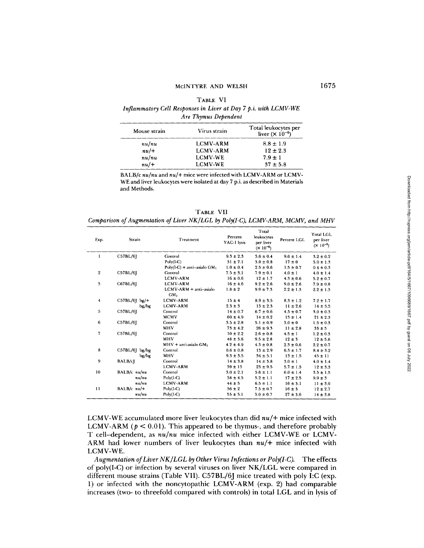# TABLE VI Inflammatory Cell Responses in Liver at Day 7 p.i. with LCMV-WE Are Thymus Dependent

| Mouse strain | Virus strain    | Total leukocytes per<br>liver $(\times 10^{-6})$ |
|--------------|-----------------|--------------------------------------------------|
| nu/nu        | <b>LCMV-ARM</b> | $8.8 \pm 1.9$                                    |
| $nu/+$       | <b>LCMV-ARM</b> | $12 \pm 2.3$                                     |
| nu/nu        | <b>LCMV-WE</b>  | $7.9 \pm 1$                                      |
| $nu/+$       | <b>LCMV-WE</b>  | $37 \pm 5.8$                                     |

BALB/c nu/nu and nu/+ mice were infected with LCMV-ARM or LCMV-WE and liver leukocytes were isolated at day 7 p.i. as described in Materials and Methods.

TABLE VII Comparison of Augmentation of Liver NK/LGL by Poly(I-C), LCMV-ARM, MCMV, and MHV

| Exp.           | Strain            | Treatment                      | Percent<br>YAC-1 lysis | Total<br>leukocytes<br>per liver<br>$(x 10^{-6})$ | Percent LGL   | Total LGL<br>per liver<br>$(X 10^{-5})$ |
|----------------|-------------------|--------------------------------|------------------------|---------------------------------------------------|---------------|-----------------------------------------|
| 1              | C57BL/61          | Control                        | $9.3 \pm 2.3$          | $3.6 \pm 0.4$                                     | $9.0 \pm 1.4$ | $3.2 \pm 0.2$                           |
|                |                   | $Poly(I-C)$                    | $31 \pm 7.1$           | $3.0 \pm 0.8$                                     | $17 \pm 0$    | $5.0 \pm 1.3$                           |
|                |                   | Poly(I-C) + anti-asialo $GM_1$ | $1.0 \pm 0.4$          | $2.5 \pm 0.6$                                     | $1.5 \pm 0.7$ | $0.4 \pm 0.3$                           |
| $\overline{2}$ | C57BL/6           | Control                        | $7.5 \pm 3.1$          | $7.9 \pm 0.1$                                     | $4.0 \pm 1$   | $4.0 \pm 1.4$                           |
|                |                   | <b>LCMV-ARM</b>                | $16 \pm 0.6$           | $12 \pm 1.7$                                      | $4.3 \pm 0.6$ | $5.2 \pm 0.7$                           |
| 3              | C67BL/6I          | <b>LCMV-ARM</b>                | $16 \pm 4.6$           | $9.2 \pm 2.6$                                     | $9.0 \pm 2.6$ | $7.9 \pm 0.8$                           |
|                |                   | $LCMV-ARM + anti-asialo$       | $1.8 \pm 2$            | $9.9 \pm 7.3$                                     | $2.2 \pm 1.3$ | $2.2 \pm 1.3$                           |
|                |                   | GM.                            |                        |                                                   |               |                                         |
| $\overline{4}$ | $C57BL/6$ ] bg/+  | <b>LCMV-ARM</b>                | $15 \pm 4$             | $8.9 \pm 3.5$                                     | $8.3 \pm 1.2$ | $7.2 \pm 1.7$                           |
|                | bg/bg             | <b>LCMV-ARM</b>                | $2.3 \pm 3$            | $13 \pm 2.3$                                      | $11 \pm 2.6$  | $14 \pm 3.5$                            |
| 5              | C57BL/61          | Control                        | $14 \pm 0.7$           | $6.7 \pm 0.6$                                     | $4.5 \pm 0.7$ | $3.0 \pm 0.3$                           |
|                |                   | <b>MCMV</b>                    | $60 \pm 4.9$           | $14 \pm 0.2$                                      | $15 \pm 1.4$  | $21 \pm 2.3$                            |
| 6              | C57BL/6           | Control                        | $3.5 \pm 2.8$          | $5.1 \pm 0.9$                                     | $3.0 \pm 0$   | $1.5 \pm 0.3$                           |
|                |                   | MHV                            | $73 \pm 4.2$           | $26 \pm 9.3$                                      | $11 \pm 2.8$  | $33 \pm 5$                              |
| 7              | $C57BL/6$ ]       | Control                        | $10 \pm 2.2$           | $2.6 \pm 0.8$                                     | $4.5 \pm 1$   | $1.2 \pm 0.3$                           |
|                |                   | MHV                            | $48 \pm 3.6$           | $9.5 \pm 2.8$                                     | $12 \pm 3$    | $12 \pm 5.6$                            |
|                |                   | $MHV + anti-asialo GM1$        | $4.2 \pm 4.9$          | $4.3 \pm 0.8$                                     | $2.3 \pm 0.6$ | $2.2 \pm 0.7$                           |
| 8              | $C57BL/6$ ] bg/bg | Control                        | $0.6 \pm 0.8$          | $13 \pm 2.9$                                      | $6.5 \pm 1.7$ | $8.4 \pm 3.2$                           |
|                | bg/bg             | MHV                            | $9.3 \pm 3.5$          | $34 \pm 5.1$                                      | $13 \pm 1.5$  | $45 \pm 11$                             |
| 9              | BALB/cl           | Control                        | $14 \pm 3.8$           | $14 \pm 3.8$                                      | $3.0 \pm 1$   | $4.0 \pm 1.4$                           |
|                |                   | <b>LCMV-ARM</b>                | $39 \pm 13$            | $23 \pm 9.5$                                      | $5.7 \pm 1.5$ | $12 \pm 3.3$                            |
| 10             | BALB/c nu/nu      | Control                        | $3.0 \pm 2.1$          | $5.6 \pm 1.1$                                     | $6.0 \pm 1.4$ | $3.5 \pm 1.5$                           |
|                | nu/nu             | $Poly(I-C)$                    | $38 \pm 4.5$           | $5.2 \pm 1.1$                                     | $17 \pm 2.5$  | $9.9 \pm 3$                             |
|                | nu/nu             | <b>LCMV-ARM</b>                | $44 \pm 5$             | $6.5 \pm 1.1$                                     | $16 \pm 3.1$  | $11 \pm 3.9$                            |
| $\mathbf{11}$  | BALB/c $nu/+$     | $Poly(I-C)$                    | $36 \pm 2$             | $7.5 \pm 0.7$                                     | $16 \pm 3$    | $12 \pm 2.7$                            |
|                | nu/nu             | $Poly(I-C)$                    | $55 \pm 5.1$           | $5.0 \pm 0.7$                                     | $27 \pm 3.6$  | $14 \pm 3.8$                            |

LCMV-WE accumulated more liver leukocytes than did  $nu/+$  mice infected with LCMV-ARM ( $p < 0.01$ ). This appeared to be thymus-, and therefore probably T cell-dependent, as nu/nu mice infected with either LCMV-WE or LCMV-ARM had lower numbers of liver leukocytes than  $nu/+$  mice infected with LCMV-WE.

Augmentation of Liver NK/LGL by Other Virus Infections or Poly(I-C). The effects of poly(I-C) or infection by several viruses on liver NK/LGL were compared in different mouse strains (Table VII). C57BL/6J mice treated with poly I:C (exp. 1) or infected with the noncytopathic LCMV-ARM (exp. 2) had comparable increases (two- to threefold compared with controls) in total LGL and in lysis of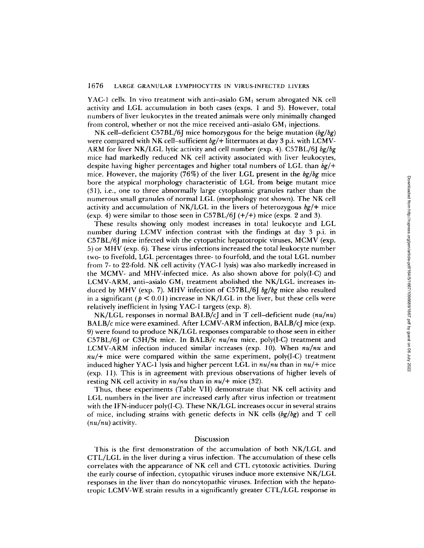#### 167 LARGE GRANULAR LYMPHOCYTES IN VIRUS-INFECTED LIVERS

YAC-1 cells. In vivo treatment with anti-asialo  $GM_1$  serum abrogated NK cell activity and LGL accumulation in both cases (exps. <sup>1</sup> and 3) . However, total numbers of liver leukocytes in the treated animals were only minimally changed from control, whether or not the mice received anti-asialo  $GM<sub>1</sub>$  injections.

NK cell-deficient C57BL/6J mice homozygous for the beige mutation (bg/bg) were compared with NK cell-sufficient bg/+ littermates at day 3 p.i. with LCMV-ARM for liver NK/LGL lytic activity and cell number (exp. 4). C57BL/6I  $bg/bg$ mice had markedly reduced NK cell activity associated with liver leukocytes, despite having higher percentages and higher total numbers of LGL than  $bg/+$ mice. However, the majority (76%) of the liver LGL present in the bg/bg mice bore the atypical morphology characteristic of LGL from beige mutant mice  $(31)$ , i.e., one to three abnormally large cytoplasmic granules rather than the numerous small granules of normal LGL (morphology not shown). The NK cell activity and accumulation of NK/LGL in the livers of heterozygous  $bg/+$  mice (exp. 4) were similar to those seen in C57BL/6J  $(+/+)$  mice (exps. 2 and 3).

These results showing only modest increases in total leukocyte and LGL number during LCMV infection contrast with the findings at day 3 p.i. in C57BL/6J mice infected with the cytopathic hepatotropic viruses, MCMV (exp. 5) or MHV (exp. 6) . These virus infections increased the total leukocyte number two- to fivefold, LGL percentages three- to fourfold, and the total LGL number from 7- to 22-fold . NK cell activity (YAC-I lysis) was also markedly increased in the MCMV- and MHV-infected mice. As also shown above for poly(I-C) and LCMV-ARM, anti-asialo GM, treatment abolished the NK/LGL increases induced by MHV (exp. 7). MHV infection of  $C57BL/6$  bg/bg mice also resulted in a significant ( $p < 0.01$ ) increase in NK/LGL in the liver, but these cells were relatively inefficient in lysing YAC-1 targets (exp. 8).

 $NK/LGL$  responses in normal  $BALB/CJ$  and in T cell-deficient nude  $(nu/nu)$ BALB/c mice were examined. After LCMV-ARM infection, BALB/cJ mice (exp. 9) were found to produce NK/LGL responses comparable to those seen in either C57BL/6I or C3H/St mice. In BALB/c  $nu/nu$  mice, poly(I-C) treatment and LCMV-ARM infection induced similar increases (exp. 10). When  $nu/nu$  and  $nu/+$  mice were compared within the same experiment, poly(I-C) treatment induced higher YAC-1 lysis and higher percent LGL in  $nu/nu$  than in  $nu/$ + mice (exp. 11). This is in agreement with previous observations of higher levels of resting NK cell activity in  $nu/nu$  than in  $nu/+$  mice (32).

Thus, these experiments (Table VII) demonstrate that NK cell activity and LGL numbers in the liver are increased early after virus infection or treatment with the IFN-inducer poly(I-C). These NK/LGL increases occur in several strains of mice, including strains with genetic defects in NK cells (bg/bg) and T cell  $(nu/nu)$  activity.

## Discussion

This is the first demonstration of the accumulation of both NK/LGL and CTL/LGL in the liver during a virus infection. The accumulation of these cells correlates with the appearance of NK cell and CTL cytotoxic activities . During the early course of infection, cytopathic viruses induce more extensive NK/LGL responses in the liver than do noncytopathic viruses. Infection with the hepatotropic LCMV-WE strain results in <sup>a</sup> significantly greater CTL/LGL response in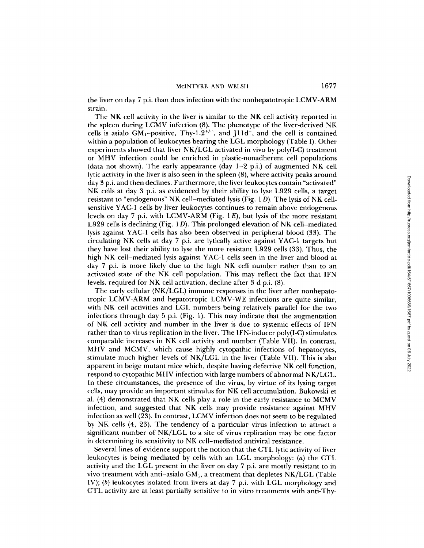### MCINTYRE AND WELSH

the liver on day 7 p.i . than does infection with the nonhepatotropic LCMV-ARM strain.

The NK cell activity in the liver is similar to the NK cell activity reported in the spleen during LCMV infection (8). The phenotype of the liver-derived NK cells is asialo  $GM_1$ -positive, Thy-1.2<sup>+/-</sup>, and J11d<sup>-</sup>, and the cell is contained within a population of leukocytes bearing the LGL morphology (Table I) . Other experiments showed that liver NK/LGL activated in vivo by poly(I-C) treatment or MHV infection could be enriched in plastic-nonadherent cell populations (data not shown). The early appearance (day  $1-2$  p.i.) of augmented NK cell lytic activity in the liver is also seen in the spleen (8), where activity peaks around day 3 p.i . and then declines. Furthermore, the liver leukocytes contain "activated" NK cells at day 3 p.i. as evidenced by their ability to lyse L929 cells, a target resistant to "endogenous" NK cell-mediated lysis (Fig. 1  $D$ ). The lysis of NK cellsensitive YAC-1 cells by liver leukocytes continues to remain above endogenous levels on day 7 p.i. with LCMV-ARM (Fig. 1E), but lysis of the more resistant L929 cells is declining (Fig. 1D). This prolonged elevation of NK cell–mediated lysis against YAC-1 cells has also been observed in peripheral blood (33). The circulating NK cells at day 7 p.i . are lytically active against YAGI targets but they have lost their ability to lyse the more resistant L929 cells (33) . Thus, the high NK cell-mediated lysis against YAC-1 cells seen in the liver and blood at day 7 p.i . is more likely due to the high NK cell number rather than to an activated state of the NK cell population. This may reflect the fact that IFN levels, required for NK cell activation, decline after 3 d p.i . (8).

The early cellular (NK/LGL) immune responses in the liver after nonhepatotropic LCMV-ARM and hepatotropic LCMV-WE infections are quite similar, with NK cell activities and LGL numbers being relatively parallel for the two infections through day 5 p.i . (Fig . 1) . This may indicate that the augmentation of NK cell activity and number in the liver is due to systemic effects of IFN rather than to virus replication in the liver. The IFN-inducer poly(I-C) stimulates comparable increases in NK cell activity and number (Table VII). In contrast, MHV and MCMV, which cause highly cytopathic infections of hepatocytes, stimulate much higher levels of NK/LGL in the liver (Table VII). This is also apparent in beige mutant mice which, despite having defective NK cell function, respond to cytopathic MHV infection with large numbers of abnormal NK/LGL. In these circumstances, the presence of the virus, by virtue of its lysing target cells, may provide an important stimulus for NK cell accumulation . Bukowski et al . (4) demonstrated that NK cells play <sup>a</sup> role in the early resistance to MCMV infection, and suggested that NK cells may provide resistance against MHV infection as well (23) . In contrast, LCMV infection does not seem to be regulated by NK cells (4, 23). The tendency of a particular virus infection to attract a significant number of NK/LGL to a site of virus replication may be one factor in determining its sensitivity to NK cell-mediated antiviral resistance .

Several lines of evidence support the notion that the CTL lytic activity of liver leukocytes is being mediated by cells with an LGL morphology : (a) the CTL activity and the LGL present in the liver on day 7 p.i . are mostly resistant to in vivo treatment with anti-asialo  $GM<sub>1</sub>$ , a treatment that depletes NK/LGL (Table IV); (b) leukocytes isolated from livers at day 7 p.i. with LGL morphology and CTL activity are at least partially sensitive to in vitro treatments with anti-Thy-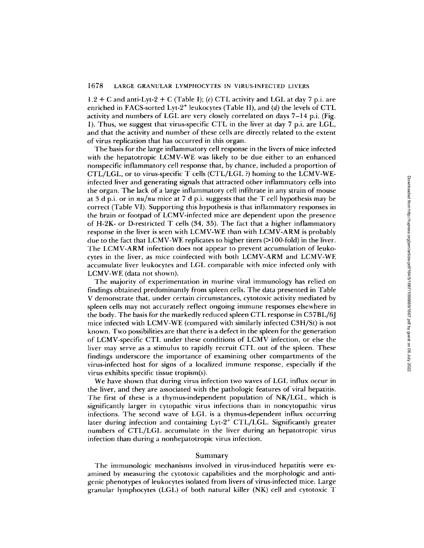$1.2 + C$  and anti-Lyt-2 + C (Table I); (c) CTL activity and LGL at day 7 p.i. are enriched in FACS-sorted Lyt-2 <sup>+</sup> leukocytes (Table II), and (d) the levels of CTL activity and numbers of LGL are very closely correlated on days 7-14 p.i. (Fig. 1) . Thus, we suggest that virus-specific CTL in the liver at day 7 p.i . are LGL, and that the activity and number of these cells are directly related to the extent of virus replication that has occurred in this organ.

The basis for the large inflammatory cell response in the livers of mice infected with the hepatotropic LCMV-WE was likely to be due either to an enhanced nonspecific inflammatory cell response that, by chance, included a proportion of  $\text{CTL/LGL}$ , or to virus-specific T cells ( $\text{CTL/LGL}$  ?) homing to the LCMV-WEinfected liver and generating signals that attracted other inflammatory cells into the organ. The lack of a large inflammatory cell infiltrate in any strain of mouse at 3 d p.i. or in  $nu/nu$  mice at 7 d p.i. suggests that the T cell hypothesis may be correct (Table VI). Supporting this hypothesis is that inflammatory responses in the brain or footpad of LCMV-infected mice are dependent upon the presence of H-2K- or D-restricted T cells (34, 35). The fact that a higher inflammatory response in the liver is seen with LCMV-WE than with LCMV-ARM is probably due to the fact that LCMV-WE replicates to higher titers (>100-fold) in the liver. The LCMV-ARM infection does not appear to prevent accumulation of leukocytes in the liver, as mice coinfected with both LCMV-ARM and LCMV-WE accumulate liver leukocytes and LGL comparable with mice infected only with LCMV-WE (data not shown).

The majority of experimentation in murine viral immunology has relied on findings obtained predominantly from spleen cells. The data presented in Table V demonstrate that, under certain circumstances, cytotoxic activity mediated by spleen cells may not accurately reflect ongoing immune responses elsewhere in the body. The basis for the markedly reduced spleen CTL response in C57BL/6J mice infected with LCMV-WE (compared with similarly infected C3H/St) is not known . Two possibilities are that there is a defect in the spleen for the generation of LCMV-specific CTL under these conditions of LCMV infection, or else the liver may serve as a stimulus to rapidly recruit CTL out of the spleen . These findings underscore the importance of examining other compartments of the virus-infected host for signs of a localized immune response, especially if the virus exhibits specific tissue tropism(s) .

We have shown that during virus infection two waves of LGL influx occur in the liver, and they are associated with the pathologic features of viral hepatitis. The first of these is a thymus-independent population of NK/LGL, which is significantly larger in cytopathic virus infections than in noncytopathic virus infections . The second wave of LGL is a thymus-dependent influx occurring later during infection and containing  $Lyt-2^+$  CTL/LGL. Significantly greater numbers of CTL/LGL accumulate in the liver during an hepatotropic virus infection than during a nonhepatotropic virus infection.

### Summary

The immunologic mechanisms involved in virus-induced hepatitis were examined by measuring the cytotoxic capabilities and the morphologic and antigenic phenotypes of leukocytes isolated from livers of virus-infected mice. Large granular lymphocytes (LGL) of both natural killer (NK) cell and cytotoxic T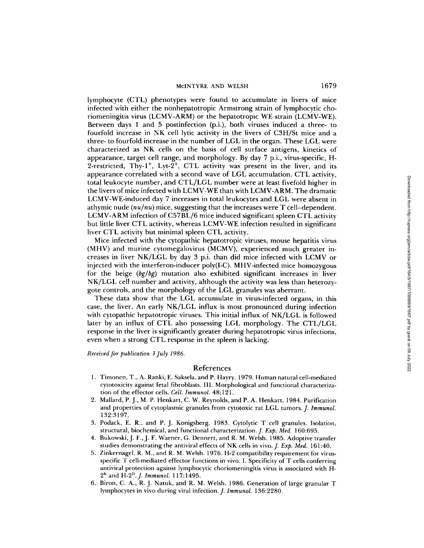lymphocyte (CTL) phenotypes were found to accumulate in livers of mice infected with either the nonhepatotropic Armstrong strain of lymphocytic choriomeningitis virus (LCMV-ARM) or the hepatotropic WE strain (LCMV-WE). Between days <sup>1</sup> and 5 postinfection (p.i .), both viruses induced a three- to fourfold increase in NK cell lytic activity in the livers of C3H/St mice and a three- to fourfold increase in the number of LGL in the organ. These LGL were characterized as NK cells on the basis of cell surface antigens, kinetics of appearance, target cell range, and morphology. By day 7 p.i ., virus-specific, H-2-restricted, Thy-1<sup>+</sup>, Lyt-2<sup>+</sup>, CTL activity was present in the liver, and its appearance correlated with a second wave of LGL accumulation. CTL activity, total leukocyte number, and CTL/LGL number were at least fivefold higher in the livers of mice infected with LCMV-WE than with LCMV-ARM. The dramatic LCMV-WE-induced day <sup>7</sup> increases in total leukocytes and LGL were absent in athymic nude  $(nu/nu)$  mice, suggesting that the increases were  $T$  cell-dependent. LCMV-ARM infection of C57BL/6 mice induced significant spleen CTL activity but little liver CTL activity, whereas LCMV-WE infection resulted in significant liver CTL activity but minimal spleen CTL activity. levelocyte number, and CTL/LGL number were at least fivelol higher in the system theoretic during viral method that  $W$ . WE interest the state of the system and CH, were about the system in view on the system in the state

Mice infected with the cytopathic hepatotropic viruses, mouse hepatitis virus (MHV) and murine cytomegalovirus (MCMV), experienced much greater increases in liver NK/LGL by day <sup>3</sup> p.i . than did mice infected with LCMV or injected with the interferon-inducer poly(I-C) . MHV-infected mice homozygous for the beige  $(bg/bg)$  mutation also exhibited significant increases in liver NK/LGL cell number and activity, although the activity was less than heterozygote controls, and the morphology of the LGL granules was aberrant.

These data show that the LGL accumulate in virus-infected organs, in this case, the liver . An early NK/LGL influx is most pronounced during infection with cytopathic hepatotropic viruses. This initial influx of NK/LGL is followed later by an influx of CTL also possessing LGL morphology. The CTL/LGL response in the liver is significantly greater during hepatotropic virus infections, even when <sup>a</sup> strong CTL response in the spleen is lacking .

Received for publication 3 July 1986.

## References

- <sup>1</sup> . Timonen, T., A. Ranki, E. Saksela, and <sup>P</sup> . Hayry. 1979. Human natural cell-mediated cytotoxicity against fetal fibroblasts. III . Morphological and functional characterization of the effector cells. Cell. Immunol. 48:121.
- 2. Mallard, P. J., M. P. Henkart, C. W. Reynolds, and P. A. Henkart. 1984. Purification and properties of cytoplasmic granules from cytotoxic rat LGL tumors. J. Immunol. 132:3197.
- 3. Podack, E. R., and P. J. Konigsberg. 1983. Cytolytic T cell granules. Isolation, structural, biochemical, and functional characterization. J. Exp. Med. 160:695.
- 4. Bukowski, J. F., J. F. Warner, G. Dennert, and R. M. Welsh. 1985. Adoptive transfer studies demonstrating the antiviral effects of NK cells in vivo. *J. Exp. Med.* 161:40.
- 5. Zinkernagel, R. M., and R. M. Welsh. 1976. H-2 compatibility requirement for virusspecific  $\overline{T}$  cell-mediated effector functions in vivo. I. Specificity of  $T$  cells conferring antiviral protection against lymphocytic choriomeningitis virus is associated with H- $2^k$  and H-2<sup>D</sup>. *J. Immunol.* 117:1495.
- 6. Biron, C. A., R. J. Natuk, and R. M. Welsh. 1986. Generation of large granular T<br>lymphocytes in vivo during viral infection. *J. Immunol.* 136:2280.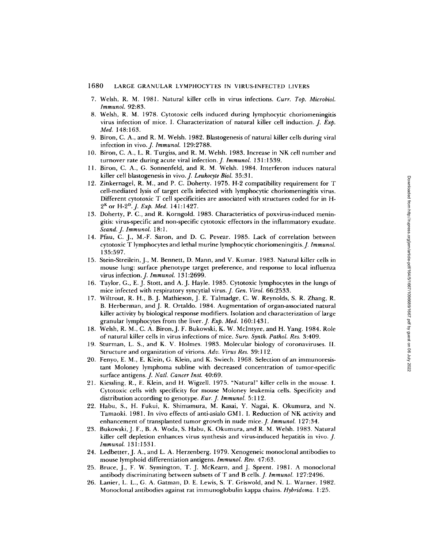# 1680 LARGE GRANULAR LYMPHOCYTES IN VIRUS-INFECTED LIVERS

- 7. Welsh, R. M. 1981. Natural killer cells in virus infections. Curr. Top. Microbiol. Immunol. 92:83.
- 8. Welsh, <sup>R</sup> . M. <sup>1978</sup> . Cytotoxic cells induced during lymphocytic choriomeningitis virus infection of mice. I. Characterization of natural killer cell induction. *J. Exp.* Med. 148:163.
- 9. Biron, C. A., and R. M. Welsh . <sup>1982</sup> . Blastogenesi <sup>s</sup> of natural killer cells during viral infection in vivo. J. Immunol. 129:2788.
- 10. Biron, C . A., L. R. Turgiss, and R. M. Welsh. 1983. Increas <sup>e</sup> in NK cell number and turnover rate during acute viral infection. *J. Immunol.* 131:1539.
- 11. Biron, C. A., G. Sonnenfeld, and R. M. Welsh. 1984. Interferon induces natural killer cell blastogenesis in vivo. J. Leukocyte Biol. 35:31.
- 12 . Zinkernagel, R. M., and P. C. Doherty . 1975 H-2 compatibility requirement for T cell-mediated lysis of target cells infected with lymphocytic choriomeningitis virus . Different cytotoxic T cell specificities are associated with structures coded for in H- $2<sup>k</sup>$  or H- $2<sup>D</sup>$ . *J. Exp. Med.* 141:1427. Zinkernage R. A. The method is the state of the state control and its computibility requirement for the state of the state interest results. Hybridoma . The state of the state of the state of the state of the state of the
- 13. Doherty, P. C., and R. Korngold . 1983. Characteristics of poxvirus-induced meningitis: virus-specific and non-specific cytotoxic effectors in the inflammatory exudate. Scand J. Immunol. 18 :1 .
- 14. Pfau, C. J., M .-F. Saron, and D. C. Pevear. 1985. Lac k of correlation between cytotoxic T lymphocytes and lethal murine lymphocytic choriomeningitis. *J. Immunol.* 135:597 .
- 15. Stein-Streilein, J., M. Bennett, D. Mann, and V. Kumar. 1983. Natural killer cells in mouse lung: surface phenotype target preference, and response to local influenza virus infection. *J. Immunol.* 131:2699.
- 16. Taylor, G., E. J. Stott, and A. J. Hayle. 1985 . Cytotoxi c lymphocytes in the lungs of mice infected with respiratory syncytial virus. *J. Gen. Virol.* 66:2533.
- 17. Wiltrout, R. H., B. J. Mathieson, J. E. Talmadge, C. W. Reynolds, S. R. Zhang, R. B. Herberman, and J. R. Ortaldo. 1984. Augmentation of organ-associated natural killer activity by biological response modifiers . Isolation and characterization of large granular lymphocytes from the liver. *J. Exp. Med.* 160:1431.
- 18. Welsh, R. M., C. A. Biron, J. F. Bukowski, K. W. McIntyre, and H. Yang. 1984. Role of natural killer cells in virus infections of mice. Surv. Synth. Pathol. Res. 3:409.
- 19. Sturman, L. S., and K. V Holmes. 1983. Molecula r biology of coronaviruses . II . Structure and organization of virions. Adv. Virus Res. 39:112.
- 20. Fenyo, E. M., E. Klein, G. Klein, and K. Swiech. 1968. Selection of an immunoresistant Moloney lymphoma subline with decreased concentration of tumor-specific surface antigens. J. Natl. Cancer Inst. 40:69.
- 21. Kiessling, R., E. Klein, and H. Wigzell. 1975. "Natural" killer cells in the mouse. I. Cytotoxic cells with specificity for mouse Moloney leukemia cells . Specificity and distribution according to genotype. Eur. J. Immunol. 5:112.
- 22. Habu, S., H. Fukui, K. Shimamura, M. Kasai, Y. Nagai, K. Okumura, and N. Tamaoki. <sup>1981</sup> . In vivo effects of anti-asialo GM <sup>1</sup> . <sup>I</sup> . Reduction of NK activity and enhancement of transplanted tumor growth in nude mice. *J. Immunol.* 127:34.
- 23. Bukowski, J. F., B. A. Woda, S. Habu, K. Okumura, and R. M. Welsh. 1983. Natural killer cell depletion enhances virus synthesis and virus-induced hepatitis in vivo. J Immunol . 131 :1531 .
- 24. Ledbetter, J. A., and L . A . Herzenberg. 1979. Xenogenei <sup>c</sup> monoclonal antibodies to mouse lymphoid differentiation antigens. Immunol. Rev. 47:63.
- 25. Bruce, J., F. W. Symington, T. J. McKearn, and J. Sprent. 1981 A monoclonal antibody discriminating between subsets of T and B cells .J. Immunol. <sup>127</sup> :2496.
- 26. Lanier, L. L., G. A. Gatman, D. E. Lewis, S. T. Griswold, and N. L. Warner. 1982 .